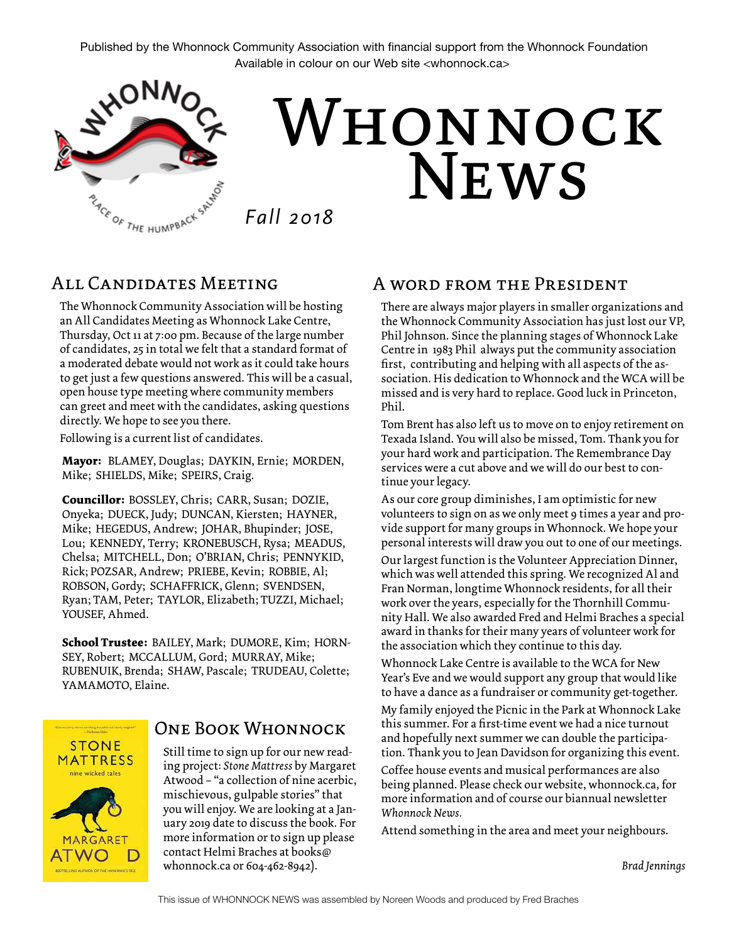Published by the Whonnock Community Association with financial support from the Whonnock Foundation Available in colour on our Web site <whonnock.ca>



### All Candidates Meeting

The Whonnock Community Association will be hosting an All Candidates Meeting as Whonnock Lake Centre, Thursday, Oct 11 at 7:00 pm. Because of the large number of candidates, 25 in total we felt that a standard format of a moderated debate would not work as it could take hours to get just a few questions answered. This will be a casual, open house type meeting where community members can greet and meet with the candidates, asking questions directly. We hope to see you there.

Following is a current list of candidates.

**Mayor:** BLAMEY, Douglas; DAYKIN, Ernie; MORDEN, Mike; SHIELDS, Mike; SPEIRS, Craig.

**Councillor:** BOSSLEY, Chris; CARR, Susan; DOZIE, Onyeka; DUECK, Judy; DUNCAN, Kiersten; HAYNER, Mike; HEGEDUS, Andrew; JOHAR, Bhupinder; JOSE, Lou; KENNEDY, Terry; KRONEBUSCH, Rysa; MEADUS, Chelsa; MITCHELL, Don; O'BRIAN, Chris; PENNYKID, Rick; POZSAR, Andrew; PRIEBE, Kevin; ROBBIE, Al; ROBSON, Gordy; SCHAFFRICK, Glenn; SVENDSEN, Ryan; TAM, Peter; TAYLOR, Elizabeth; TUZZI, Michael; YOUSEF, Ahmed.

**School Trustee:** BAILEY, Mark; DUMORE, Kim; HORN-SEY, Robert; MCCALLUM, Gord; MURRAY, Mike; RUBENUIK, Brenda; SHAW, Pascale; TRUDEAU, Colette; YAMAMOTO, Elaine.

# **STONE MATTRESS** nine wicked tales **MARGARET** ATWO

### One Book Whonnock

Still time to sign up for our new reading project: *Stone Mattress* by Margaret Atwood – "a collection of nine acerbic, mischievous, gulpable stories" that you will enjoy. We are looking at a January 2019 date to discuss the book. For more information or to sign up please contact Helmi Braches at books@ whonnock.ca or 604-462-8942).

#### A word from the President

There are always major players in smaller organizations and the Whonnock Community Association has just lost our VP, Phil Johnson. Since the planning stages of Whonnock Lake Centre in 1983 Phil always put the community association first, contributing and helping with all aspects of the association. His dedication to Whonnock and the WCA will be missed and is very hard to replace. Good luck in Princeton, Phil.

Tom Brent has also left us to move on to enjoy retirement on Texada Island. You will also be missed, Tom. Thank you for your hard work and participation. The Remembrance Day services were a cut above and we will do our best to continue your legacy.

As our core group diminishes, I am optimistic for new volunteers to sign on as we only meet 9 times a year and provide support for many groups in Whonnock. We hope your personal interests will draw you out to one of our meetings.

Our largest function is the Volunteer Appreciation Dinner, which was well attended this spring. We recognized Al and Fran Norman, longtime Whonnock residents, for all their work over the years, especially for the Thornhill Community Hall. We also awarded Fred and Helmi Braches a special award in thanks for their many years of volunteer work for the association which they continue to this day.

Whonnock Lake Centre is available to the WCA for New Year's Eve and we would support any group that would like to have a dance as a fundraiser or community get-together.

My family enjoyed the Picnic in the Park at Whonnock Lake this summer. For a first-time event we had a nice turnout and hopefully next summer we can double the participation. Thank you to Jean Davidson for organizing this event.

Coffee house events and musical performances are also being planned. Please check our website, whonnock.ca, for more information and of course our biannual newsletter *Whonnock News.* 

Attend something in the area and meet your neighbours.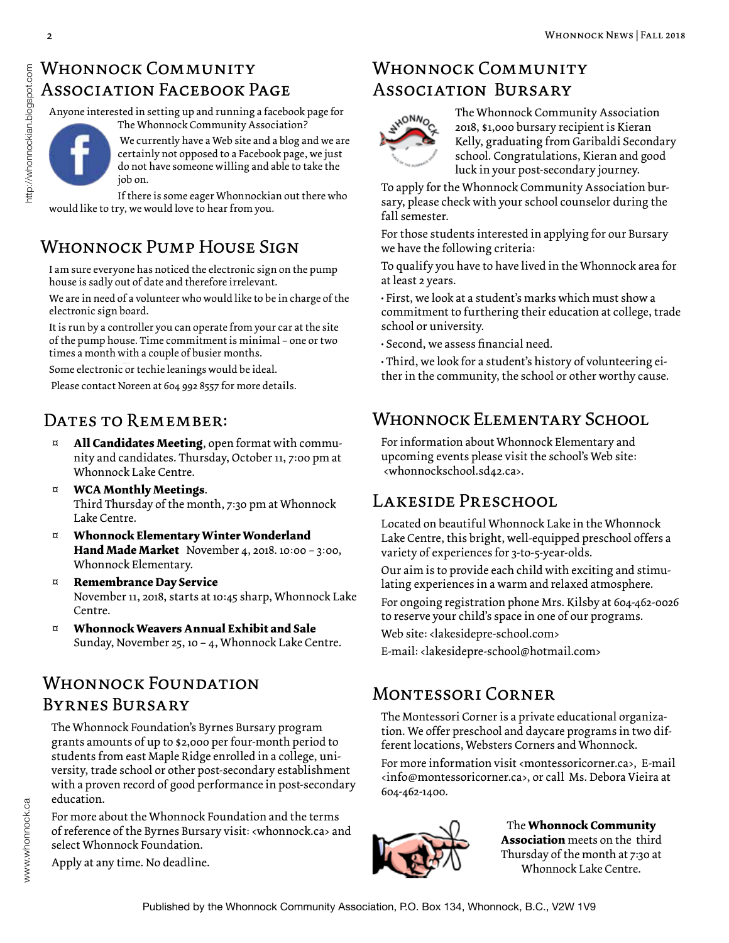### WHONNOCK COMMUNITY Association Facebook Page

Anyone interested in setting up and running a facebook page for The Whonnock Community Association?



 We currently have a Web site and a blog and we are certainly not opposed to a Facebook page, we just do not have someone willing and able to take the job on.

If there is some eager Whonnockian out there who would like to try, we would love to hear from you.

# Whonnock Pump House Sign

I am sure everyone has noticed the electronic sign on the pump house is sadly out of date and therefore irrelevant.

We are in need of a volunteer who would like to be in charge of the electronic sign board.

It is run by a controller you can operate from your car at the site of the pump house. Time commitment is minimal – one or two times a month with a couple of busier months.

Some electronic or techie leanings would be ideal.

Please contact Noreen at 604 992 8557 for more details.

### DATES TO REMEMBER:

- All **Candidates Meeting**, open format with community and candidates. Thursday, October 11, 7:00 pm at Whonnock Lake Centre.
- ¤ **WCA Monthly Meetings**. Third Thursday of the month, 7:30 pm at Whonnock Lake Centre.
- ¤ **Whonnock Elementary Winter Wonderland Hand Made Market** November 4, 2018. 10:00 – 3:00, Whonnock Elementary.
- ¤ **Remembrance Day Service** November 11, 2018, starts at 10:45 sharp, Whonnock Lake Centre.
- ¤ **Whonnock Weavers Annual Exhibit and Sale** Sunday, November 25, 10 – 4, Whonnock Lake Centre.

# WHONNOCK FOUNDATION Byrnes Bursary

The Whonnock Foundation's Byrnes Bursary program grants amounts of up to \$2,000 per four-month period to students from east Maple Ridge enrolled in a college, university, trade school or other post-secondary establishment with a proven record of good performance in post-secondary education.

For more about the Whonnock Foundation and the terms of reference of the Byrnes Bursary visit: <whonnock.ca> and select Whonnock Foundation.

Apply at any time. No deadline.

### WHONNOCK COMMUNITY Association Bursary



The Whonnock Community Association 2018, \$1,000 bursary recipient is Kieran Kelly, graduating from Garibaldi Secondary school. Congratulations, Kieran and good luck in your post-secondary journey.

To apply for the Whonnock Community Association bursary, please check with your school counselor during the fall semester.

For those students interested in applying for our Bursary we have the following criteria:

To qualify you have to have lived in the Whonnock area for at least 2 years.

• First, we look at a student's marks which must show a commitment to furthering their education at college, trade school or university.

• Second, we assess financial need.

• Third, we look for a student's history of volunteering either in the community, the school or other worthy cause.

### Whonnock Elementary School

For information about Whonnock Elementary and upcoming events please visit the school's Web site: <whonnockschool.sd42.ca>.

### Lakeside Preschool

Located on beautiful Whonnock Lake in the Whonnock Lake Centre, this bright, well-equipped preschool offers a variety of experiences for 3-to-5-year-olds.

Our aim is to provide each child with exciting and stimulating experiences in a warm and relaxed atmosphere.

For ongoing registration phone Mrs. Kilsby at 604-462-0026 to reserve your child's space in one of our programs.

Web site: <lakesidepre-school.com>

E-mail: <lakesidepre-school@hotmail.com>

### Montessori Corner

The Montessori Corner is a private educational organization. We offer preschool and daycare programs in two different locations, Websters Corners and Whonnock.

For more information visit <montessoricorner.ca>, E-mail <info@montessoricorner.ca>, or call Ms. Debora Vieira at 604-462-1400.



The **Whonnock Community Association** meets on the third Thursday of the month at 7:30 at Whonnock Lake Centre.

http://whonnockian.blogspot.com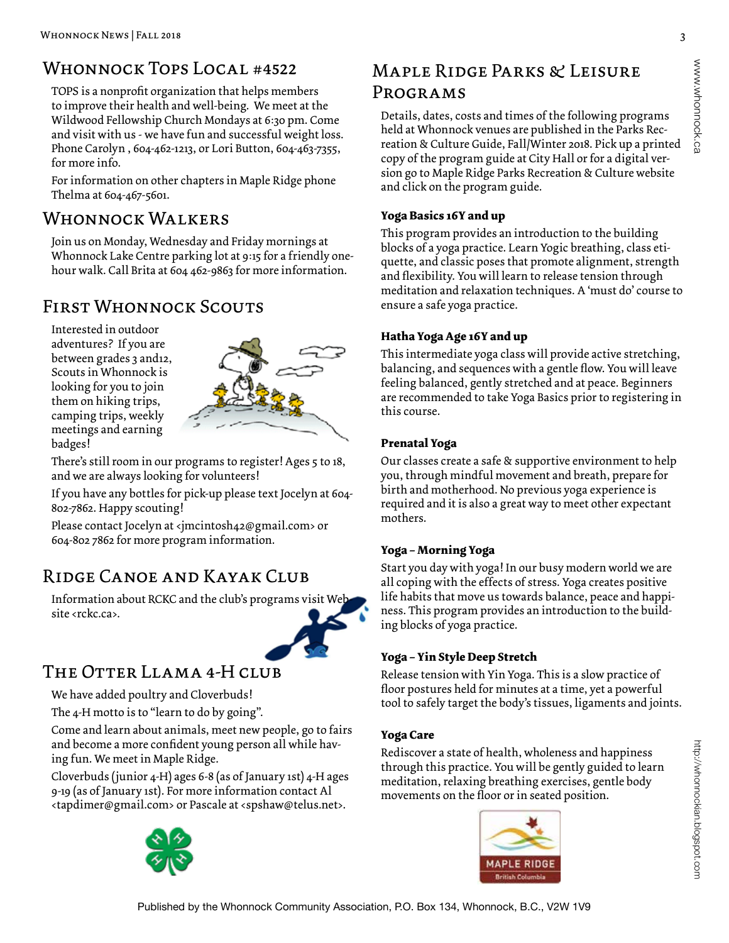### WHONNOCK TOPS LOCAL #4522

TOPS is a nonprofit organization that helps members to improve their health and well-being. We meet at the Wildwood Fellowship Church Mondays at 6:30 pm. Come and visit with us - we have fun and successful weight loss. Phone Carolyn , 604-462-1213, or Lori Button, 604-463-7355, for more info.

For information on other chapters in Maple Ridge phone Thelma at 604-467-5601.

### WHONNOCK WALKERS

Join us on Monday, Wednesday and Friday mornings at Whonnock Lake Centre parking lot at 9:15 for a friendly onehour walk. Call Brita at 604 462-9863 for more information.

# First Whonnock Scouts

Interested in outdoor adventures? If you are between grades 3 and12, Scouts in Whonnock is looking for you to join them on hiking trips, camping trips, weekly meetings and earning badges!



There's still room in our programs to register! Ages 5 to 18, and we are always looking for volunteers!

If you have any bottles for pick-up please text Jocelyn at 604- 802-7862. Happy scouting!

Please contact Jocelyn at <jmcintosh42@gmail.com> or 604-802 7862 for more program information.

### Ridge Canoe and Kayak Club

Information about RCKC and the club's programs visit We site <rckc.ca>.



### The Otter Llama 4-H club

We have added poultry and Cloverbuds!

The 4-H motto is to "learn to do by going".

Come and learn about animals, meet new people, go to fairs and become a more confident young person all while having fun. We meet in Maple Ridge.

Cloverbuds (junior 4-H) ages 6-8 (as of January 1st) 4-H ages 9-19 (as of January 1st). For more information contact Al <tapdimer@gmail.com> or Pascale at <spshaw@telus.net>.



# Maple Ridge Parks & Leisure Programs

Details, dates, costs and times of the following programs held at Whonnock venues are published in the Parks Recreation & Culture Guide, Fall/Winter 2018. Pick up a printed copy of the program guide at City Hall or for a digital version go to Maple Ridge Parks Recreation & Culture website and click on the program guide.

#### **Yoga Basics 16Y and up**

This program provides an introduction to the building blocks of a yoga practice. Learn Yogic breathing, class etiquette, and classic poses that promote alignment, strength and flexibility. You will learn to release tension through meditation and relaxation techniques. A 'must do' course to ensure a safe yoga practice.

#### **Hatha Yoga Age 16Y and up**

This intermediate yoga class will provide active stretching, balancing, and sequences with a gentle flow. You will leave feeling balanced, gently stretched and at peace. Beginners are recommended to take Yoga Basics prior to registering in this course.

#### **Prenatal Yoga**

Our classes create a safe & supportive environment to help you, through mindful movement and breath, prepare for birth and motherhood. No previous yoga experience is required and it is also a great way to meet other expectant mothers.

#### **Yoga – Morning Yoga**

Start you day with yoga! In our busy modern world we are all coping with the effects of stress. Yoga creates positive life habits that move us towards balance, peace and happiness. This program provides an introduction to the building blocks of yoga practice.

#### **Yoga – Yin Style Deep Stretch**

Release tension with Yin Yoga. This is a slow practice of floor postures held for minutes at a time, yet a powerful tool to safely target the body's tissues, ligaments and joints.

#### **Yoga Care**

Rediscover a state of health, wholeness and happiness through this practice. You will be gently guided to learn meditation, relaxing breathing exercises, gentle body movements on the floor or in seated position.

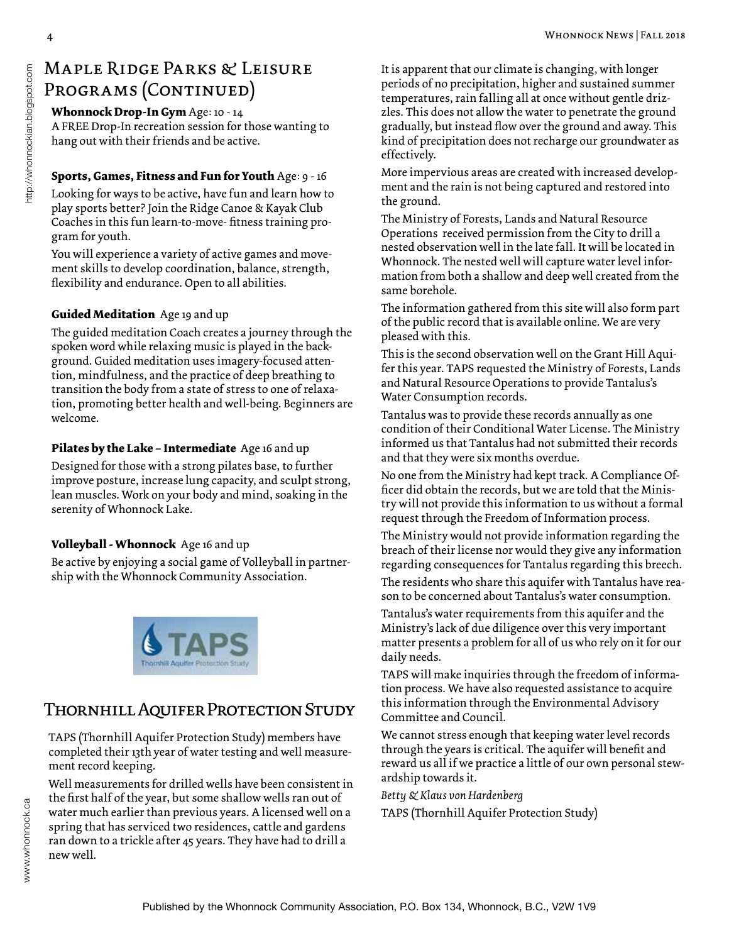# Maple Ridge Parks & Leisure PROGRAMS (CONTINUED)

#### **Whonnock Drop-In Gym** Age: 10 - 14

A FREE Drop-In recreation session for those wanting to hang out with their friends and be active.

#### **Sports, Games, Fitness and Fun for Youth** Age: 9 - 16

Looking for ways to be active, have fun and learn how to play sports better? Join the Ridge Canoe & Kayak Club Coaches in this fun learn-to-move- fitness training program for youth.

You will experience a variety of active games and movement skills to develop coordination, balance, strength, flexibility and endurance. Open to all abilities.

#### **Guided Meditation** Age 19 and up

The guided meditation Coach creates a journey through the spoken word while relaxing music is played in the background. Guided meditation uses imagery-focused attention, mindfulness, and the practice of deep breathing to transition the body from a state of stress to one of relaxation, promoting better health and well-being. Beginners are welcome.

#### **Pilates by the Lake – Intermediate** Age 16 and up

Designed for those with a strong pilates base, to further improve posture, increase lung capacity, and sculpt strong, lean muscles. Work on your body and mind, soaking in the serenity of Whonnock Lake.

#### **Volleyball - Whonnock** Age 16 and up

Be active by enjoying a social game of Volleyball in partnership with the Whonnock Community Association.



### Thornhill Aquifer Protection Study

TAPS (Thornhill Aquifer Protection Study) members have completed their 13th year of water testing and well measurement record keeping.

Well measurements for drilled wells have been consistent in the first half of the year, but some shallow wells ran out of water much earlier than previous years. A licensed well on a spring that has serviced two residences, cattle and gardens ran down to a trickle after 45 years. They have had to drill a new well.

It is apparent that our climate is changing, with longer periods of no precipitation, higher and sustained summer temperatures, rain falling all at once without gentle drizzles. This does not allow the water to penetrate the ground gradually, but instead flow over the ground and away. This kind of precipitation does not recharge our groundwater as effectively.

More impervious areas are created with increased development and the rain is not being captured and restored into the ground.

The Ministry of Forests, Lands and Natural Resource Operations received permission from the City to drill a nested observation well in the late fall. It will be located in Whonnock. The nested well will capture water level information from both a shallow and deep well created from the same borehole.

The information gathered from this site will also form part of the public record that is available online. We are very pleased with this.

This is the second observation well on the Grant Hill Aquifer this year. TAPS requested the Ministry of Forests, Lands and Natural Resource Operations to provide Tantalus's Water Consumption records.

Tantalus was to provide these records annually as one condition of their Conditional Water License. The Ministry informed us that Tantalus had not submitted their records and that they were six months overdue.

No one from the Ministry had kept track. A Compliance Officer did obtain the records, but we are told that the Ministry will not provide this information to us without a formal request through the Freedom of Information process.

The Ministry would not provide information regarding the breach of their license nor would they give any information regarding consequences for Tantalus regarding this breech.

The residents who share this aquifer with Tantalus have reason to be concerned about Tantalus's water consumption.

Tantalus's water requirements from this aquifer and the Ministry's lack of due diligence over this very important matter presents a problem for all of us who rely on it for our daily needs.

TAPS will make inquiries through the freedom of information process. We have also requested assistance to acquire this information through the Environmental Advisory Committee and Council.

We cannot stress enough that keeping water level records through the years is critical. The aquifer will benefit and reward us all if we practice a little of our own personal stewardship towards it.

*Betty & Klaus von Hardenberg*

TAPS (Thornhill Aquifer Protection Study)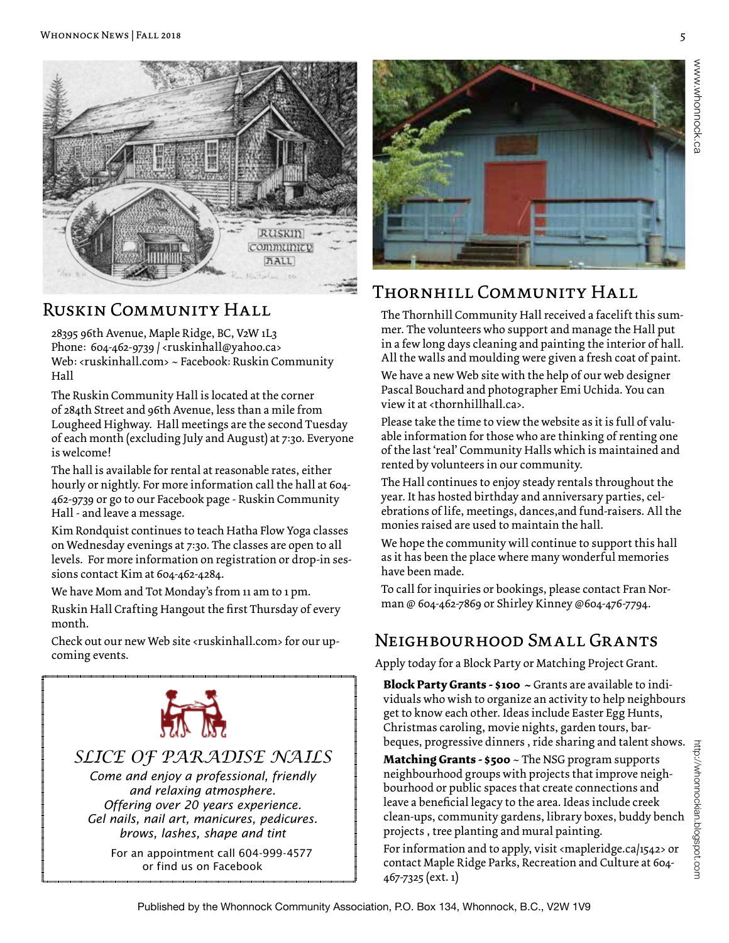

### Ruskin Community Hall

28395 96th Avenue, Maple Ridge, BC, V2W 1L3 Phone: 604-462-9739 / <ruskinhall@yahoo.ca> Web: <ruskinhall.com> ~ Facebook: Ruskin Community Hall

The Ruskin Community Hall is located at the corner of 284th Street and 96th Avenue, less than a mile from Lougheed Highway. Hall meetings are the second Tuesday of each month (excluding July and August) at 7:30. Everyone is welcome!

The hall is available for rental at reasonable rates, either hourly or nightly. For more information call the hall at 604- 462-9739 or go to our Facebook page - Ruskin Community Hall - and leave a message.

Kim Rondquist continues to teach Hatha Flow Yoga classes on Wednesday evenings at 7:30. The classes are open to all levels. For more information on registration or drop-in sessions contact Kim at 604-462-4284.

We have Mom and Tot Monday's from 11 am to 1 pm.

Ruskin Hall Crafting Hangout the first Thursday of every month.

Check out our new Web site <ruskinhall.com> for our upcoming events.



*SLICE OF PARADISE NAILS*

*Come and enjoy a professional, friendly and relaxing atmosphere. Offering over 20 years experience. Gel nails, nail art, manicures, pedicures. brows, lashes, shape and tint* 

 For an appointment call 604-999-4577 or find us on Facebook



# Thornhill Community Hall

The Thornhill Community Hall received a facelift this summer. The volunteers who support and manage the Hall put in a few long days cleaning and painting the interior of hall. All the walls and moulding were given a fresh coat of paint.

We have a new Web site with the help of our web designer Pascal Bouchard and photographer Emi Uchida. You can view it at <thornhillhall.ca>.

Please take the time to view the website as it is full of valuable information for those who are thinking of renting one of the last 'real' Community Halls which is maintained and rented by volunteers in our community.

The Hall continues to enjoy steady rentals throughout the year. It has hosted birthday and anniversary parties, celebrations of life, meetings, dances,and fund-raisers. All the monies raised are used to maintain the hall.

We hope the community will continue to support this hall as it has been the place where many wonderful memories have been made.

To call for inquiries or bookings, please contact Fran Norman @ 604-462-7869 or Shirley Kinney @604-476-7794.

### Neighbourhood Small Grants

Apply today for a Block Party or Matching Project Grant.

**Block Party Grants - \$100 ~** Grants are available to individuals who wish to organize an activity to help neighbours get to know each other. Ideas include Easter Egg Hunts, Christmas caroling, movie nights, garden tours, barbeques, progressive dinners , ride sharing and talent shows.

**Matching Grants - \$500** ~ The NSG program supports neighbourhood groups with projects that improve neighbourhood or public spaces that create connections and leave a beneficial legacy to the area. Ideas include creek clean-ups, community gardens, library boxes, buddy bench projects , tree planting and mural painting.

For information and to apply, visit <mapleridge.ca/1542> or contact Maple Ridge Parks, Recreation and Culture at 604- 467-7325 (ext. 1)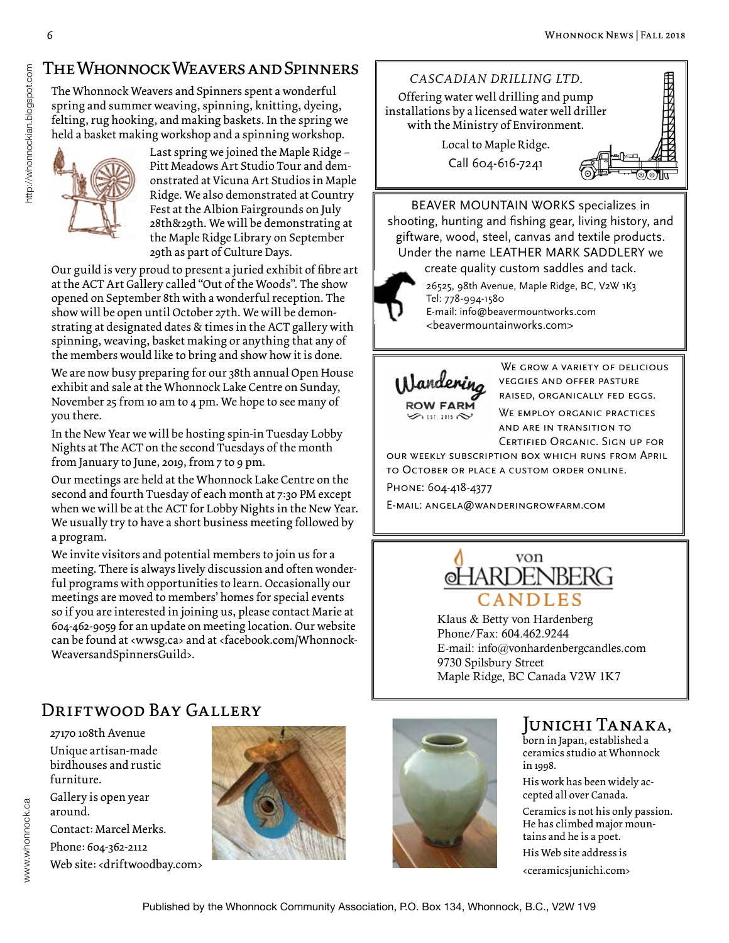# The Whonnock Weavers and Spinners

The Whonnock Weavers and Spinners spent a wonderful spring and summer weaving, spinning, knitting, dyeing, felting, rug hooking, and making baskets. In the spring we held a basket making workshop and a spinning workshop.



http://whonnockian.blogspot.com

Last spring we joined the Maple Ridge – Pitt Meadows Art Studio Tour and demonstrated at Vicuna Art Studios in Maple Ridge. We also demonstrated at Country Fest at the Albion Fairgrounds on July 28th&29th. We will be demonstrating at the Maple Ridge Library on September 29th as part of Culture Days.

Our guild is very proud to present a juried exhibit of fibre art at the ACT Art Gallery called "Out of the Woods". The show opened on September 8th with a wonderful reception. The show will be open until October 27th. We will be demonstrating at designated dates & times in the ACT gallery with spinning, weaving, basket making or anything that any of the members would like to bring and show how it is done.

We are now busy preparing for our 38th annual Open House exhibit and sale at the Whonnock Lake Centre on Sunday, November 25 from 10 am to 4 pm. We hope to see many of you there.

In the New Year we will be hosting spin-in Tuesday Lobby Nights at The ACT on the second Tuesdays of the month from January to June, 2019, from 7 to 9 pm.

Our meetings are held at the Whonnock Lake Centre on the second and fourth Tuesday of each month at 7:30 PM except when we will be at the ACT for Lobby Nights in the New Year. We usually try to have a short business meeting followed by a program.

We invite visitors and potential members to join us for a meeting. There is always lively discussion and often wonderful programs with opportunities to learn. Occasionally our meetings are moved to members' homes for special events so if you are interested in joining us, please contact Marie at 604-462-9059 for an update on meeting location. Our website can be found at <wwsg.ca> and at <facebook.com/Whonnock-WeaversandSpinnersGuild>.

### Driftwood Bay Gallery

27170 108th Avenue Unique artisan-made birdhouses and rustic furniture.

Gallery is open year around. Contact: Marcel Merks. Phone: 604-362-2112 Web site: <driftwoodbay.com>





### Junichi Tanaka,

born in Japan, established a ceramics studio at Whonnock in 1998.

His work has been widely accepted all over Canada.

Ceramics is not his only passion. He has climbed major mountains and he is a poet. His Web site address is

<ceramicsjunichi.com>



BEAVER MOUNTAIN WORKS specializes in shooting, hunting and fishing gear, living history, and giftware, wood, steel, canvas and textile products. Under the name LEATHER MARK SADDLERY we

create quality custom saddles and tack.

26525, 98th Avenue, Maple Ridge, BC, V2W 1K3 Tel: 778-994-1580 E-mail: info@beavermountworks.com <beavermountainworks.com>



WE GROW A VARIETY OF DELICIOUS veggies and offer pasture raised, organically fed eggs. WE EMPLOY ORGANIC PRACTICES and are in transition to Certified Organic. Sign up for

our weekly subscription box which runs from April to October or place a custom order online. Phone: 604-418-4377

E-mail: angela@wanderingrowfarm.com



Klaus & Betty von Hardenberg Phone/Fax: 604.462.9244 E-mail: info@vonhardenbergcandles.com 9730 Spilsbury Street Maple Ridge, BC Canada V2W 1K7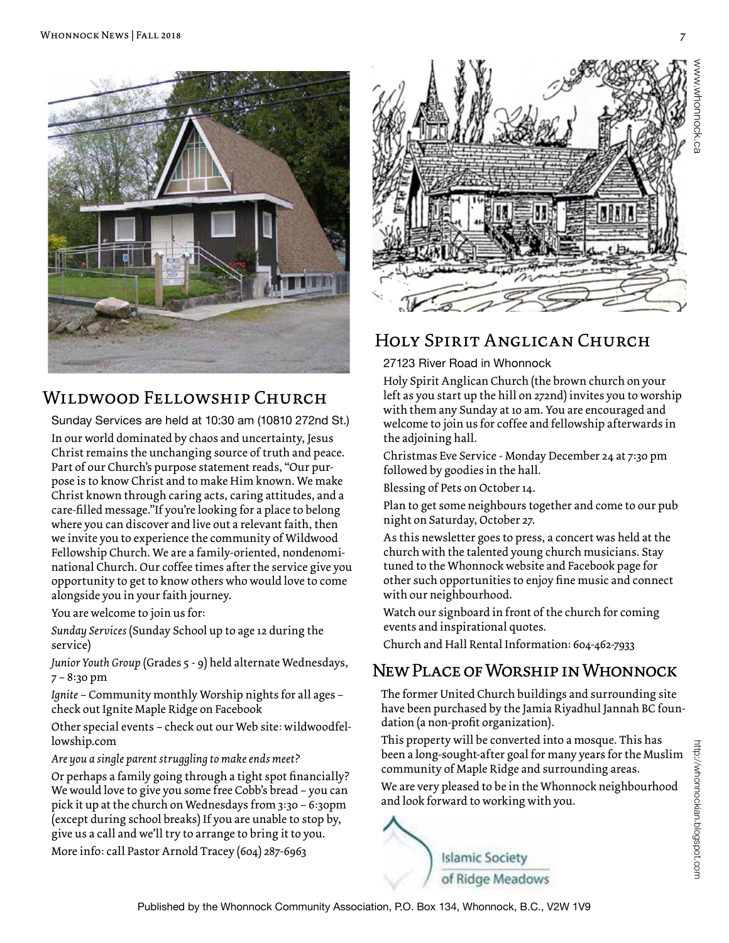

### Wildwood Fellowship Church

Sunday Services are held at 10:30 am (10810 272nd St.) In our world dominated by chaos and uncertainty, Jesus Christ remains the unchanging source of truth and peace. Part of our Church's purpose statement reads, "Our purpose is to know Christ and to make Him known. We make Christ known through caring acts, caring attitudes, and a care-filled message."If you're looking for a place to belong where you can discover and live out a relevant faith, then we invite you to experience the community of Wildwood Fellowship Church. We are a family-oriented, nondenominational Church. Our coffee times after the service give you opportunity to get to know others who would love to come alongside you in your faith journey.

You are welcome to join us for:

*Sunday Services* (Sunday School up to age 12 during the service)

*Junior Youth Group* (Grades 5 - 9) held alternate Wednesdays, 7 – 8:30 pm

*Ignite* – Community monthly Worship nights for all ages – check out Ignite Maple Ridge on Facebook

Other special events – check out our Web site: wildwoodfellowship.com

*Are you a single parent struggling to make ends meet?*

Or perhaps a family going through a tight spot financially? We would love to give you some free Cobb's bread – you can pick it up at the church on Wednesdays from 3:30 – 6:30pm (except during school breaks) If you are unable to stop by, give us a call and we'll try to arrange to bring it to you.

More info: call Pastor Arnold Tracey (604) 287-6963



### Holy Spirit Anglican Church

#### 27123 River Road in Whonnock

Holy Spirit Anglican Church (the brown church on your left as you start up the hill on 272nd) invites you to worship with them any Sunday at 10 am. You are encouraged and welcome to join us for coffee and fellowship afterwards in the adjoining hall.

Christmas Eve Service - Monday December 24 at 7:30 pm followed by goodies in the hall.

Blessing of Pets on October 14.

Plan to get some neighbours together and come to our pub night on Saturday, October 27.

As this newsletter goes to press, a concert was held at the church with the talented young church musicians. Stay tuned to the Whonnock website and Facebook page for other such opportunities to enjoy fine music and connect with our neighbourhood.

Watch our signboard in front of the church for coming events and inspirational quotes.

Church and Hall Rental Information: 604-462-7933

### New Place of Worship in Whonnock

The former United Church buildings and surrounding site have been purchased by the Jamia Riyadhul Jannah BC foundation (a non-profit organization).

This property will be converted into a mosque. This has been a long-sought-after goal for many years for the Muslim community of Maple Ridge and surrounding areas.

We are very pleased to be in the Whonnock neighbourhood and look forward to working with you.